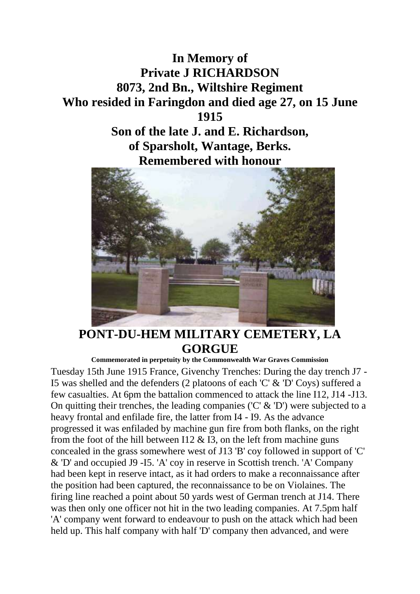



## **PONT-DU-HEM MILITARY CEMETERY, LA GORGUE**

**Commemorated in perpetuity by the Commonwealth War Graves Commission**  Tuesday 15th June 1915 France, Givenchy Trenches: During the day trench J7 - I5 was shelled and the defenders (2 platoons of each 'C' & 'D' Coys) suffered a few casualties. At 6pm the battalion commenced to attack the line I12, J14 -J13. On quitting their trenches, the leading companies ('C' & 'D') were subjected to a heavy frontal and enfilade fire, the latter from I4 - I9. As the advance progressed it was enfiladed by machine gun fire from both flanks, on the right from the foot of the hill between I12  $\&$  I3, on the left from machine guns concealed in the grass somewhere west of J13 'B' coy followed in support of 'C' & 'D' and occupied J9 -I5. 'A' coy in reserve in Scottish trench. 'A' Company had been kept in reserve intact, as it had orders to make a reconnaissance after the position had been captured, the reconnaissance to be on Violaines. The firing line reached a point about 50 yards west of German trench at J14. There was then only one officer not hit in the two leading companies. At 7.5pm half 'A' company went forward to endeavour to push on the attack which had been held up. This half company with half 'D' company then advanced, and were